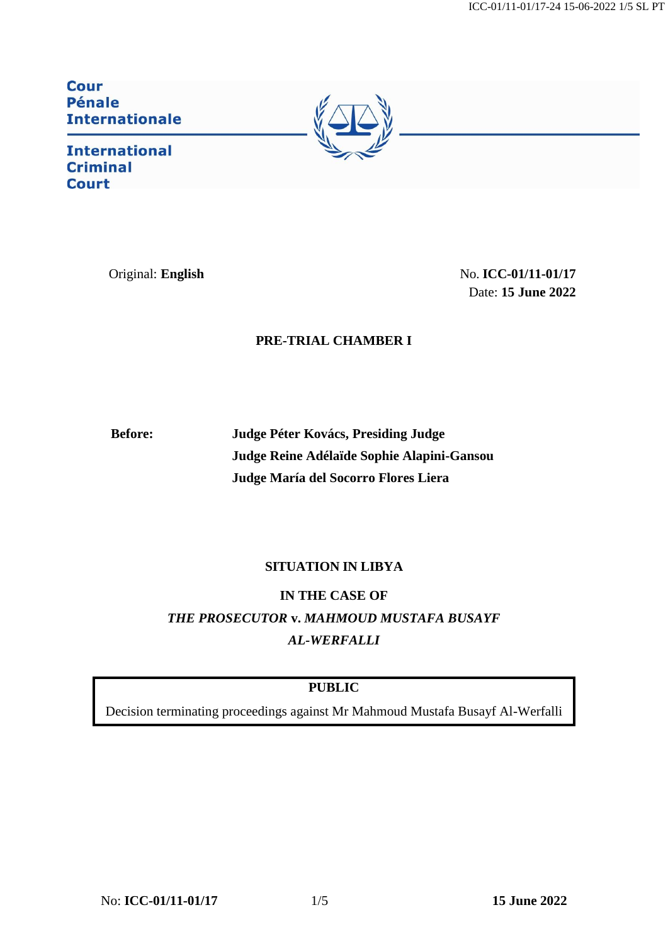ICC-01/11-01/17-24 15-06-2022 1/5 SL PT

**Cour Pénale Internationale** 

**International Criminal Court** 



Original: **English** No. **ICC-01/11-01/17** Date: **15 June 2022**

## **PRE-TRIAL CHAMBER I**

**Before: Judge Péter Kovács, Presiding Judge Judge Reine Adélaïde Sophie Alapini-Gansou Judge María del Socorro [Flores Liera](https://asp.icc-cpi.int/en_menus/asp/elections/judges/2020/Nominations/Pages/Flores%20Liera.aspx)** 

## **SITUATION IN LIBYA**

**IN THE CASE OF**  *THE PROSECUTOR* **v.** *MAHMOUD MUSTAFA BUSAYF AL-WERFALLI*

## **PUBLIC**

Decision terminating proceedings against Mr Mahmoud Mustafa Busayf Al-Werfalli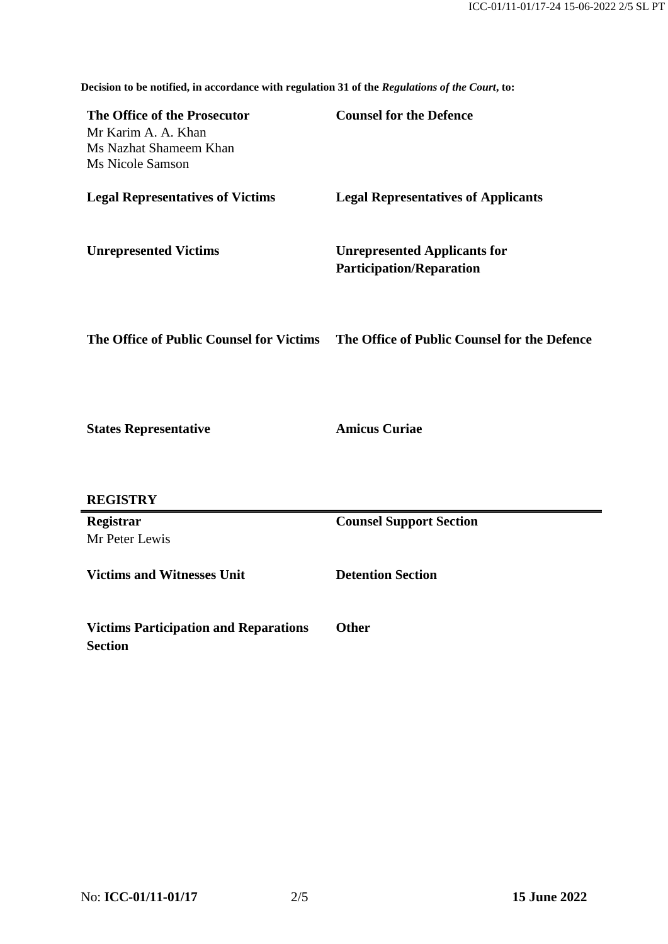**Decision to be notified, in accordance with regulation 31 of the** *Regulations of the Court***, to:**

| The Office of the Prosecutor<br>Mr Karim A. A. Khan<br>Ms Nazhat Shameem Khan<br>Ms Nicole Samson | <b>Counsel for the Defence</b>                                         |
|---------------------------------------------------------------------------------------------------|------------------------------------------------------------------------|
| <b>Legal Representatives of Victims</b>                                                           | <b>Legal Representatives of Applicants</b>                             |
| <b>Unrepresented Victims</b>                                                                      | <b>Unrepresented Applicants for</b><br><b>Participation/Reparation</b> |
| The Office of Public Counsel for Victims                                                          | The Office of Public Counsel for the Defence                           |
| <b>States Representative</b>                                                                      | <b>Amicus Curiae</b>                                                   |
| <b>REGISTRY</b>                                                                                   |                                                                        |
| Registrar<br>Mr Peter Lewis                                                                       | <b>Counsel Support Section</b>                                         |
| <b>Victims and Witnesses Unit</b>                                                                 | <b>Detention Section</b>                                               |
| <b>Victims Participation and Reparations</b><br><b>Section</b>                                    | <b>Other</b>                                                           |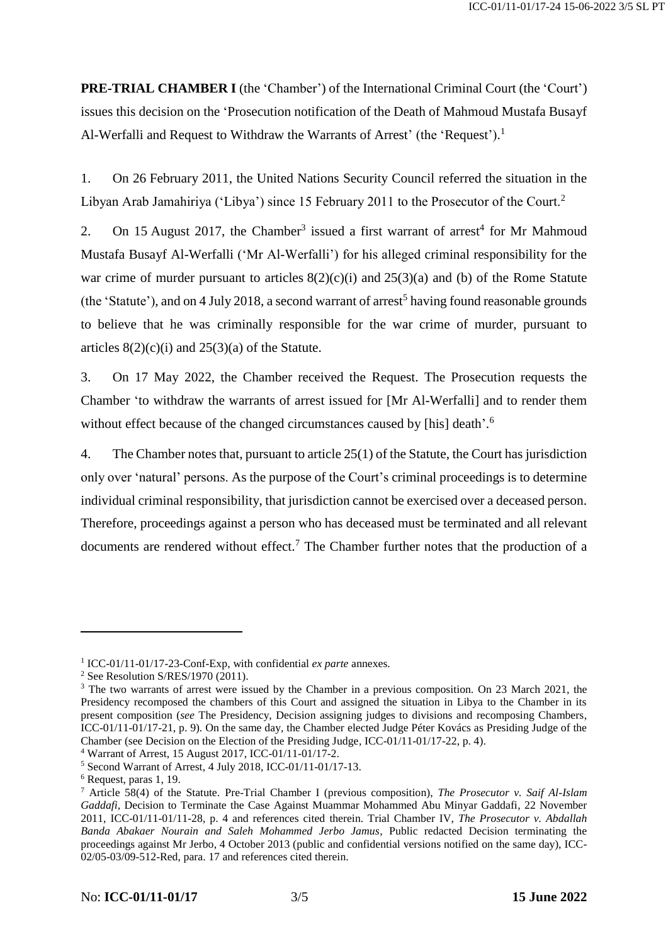**PRE-TRIAL CHAMBER I** (the 'Chamber') of the International Criminal Court (the 'Court') issues this decision on the 'Prosecution notification of the Death of Mahmoud Mustafa Busayf Al-Werfalli and Request to Withdraw the Warrants of Arrest' (the 'Request').<sup>1</sup>

1. On 26 February 2011, the United Nations Security Council referred the situation in the Libyan Arab Jamahiriya ('Libya') since 15 February 2011 to the Prosecutor of the Court.<sup>2</sup>

2. On 15 August 2017, the Chamber<sup>3</sup> issued a first warrant of arrest<sup>4</sup> for Mr Mahmoud Mustafa Busayf Al-Werfalli ('Mr Al-Werfalli') for his alleged criminal responsibility for the war crime of murder pursuant to articles  $8(2)(c)(i)$  and  $25(3)(a)$  and (b) of the Rome Statute (the 'Statute'), and on 4 July 2018, a second warrant of arrest<sup>5</sup> having found reasonable grounds to believe that he was criminally responsible for the war crime of murder, pursuant to articles  $8(2)(c)(i)$  and  $25(3)(a)$  of the Statute.

3. On 17 May 2022, the Chamber received the Request. The Prosecution requests the Chamber 'to withdraw the warrants of arrest issued for [Mr Al-Werfalli] and to render them without effect because of the changed circumstances caused by [his] death'.<sup>6</sup>

4. The Chamber notes that, pursuant to article 25(1) of the Statute, the Court has jurisdiction only over 'natural' persons. As the purpose of the Court's criminal proceedings is to determine individual criminal responsibility, that jurisdiction cannot be exercised over a deceased person. Therefore, proceedings against a person who has deceased must be terminated and all relevant documents are rendered without effect.<sup>7</sup> The Chamber further notes that the production of a

-

<sup>1</sup> ICC-01/11-01/17-23-Conf-Exp, with confidential *ex parte* annexes.

<sup>&</sup>lt;sup>2</sup> See Resolution S/RES/1970 (2011).

<sup>&</sup>lt;sup>3</sup> The two warrants of arrest were issued by the Chamber in a previous composition. On 23 March 2021, the Presidency recomposed the chambers of this Court and assigned the situation in Libya to the Chamber in its present composition (*see* The Presidency, Decision assigning judges to divisions and recomposing Chambers, ICC-01/11-01/17-21, p. 9). On the same day, the Chamber elected Judge Péter Kovács as Presiding Judge of the Chamber (see Decision on the Election of the Presiding Judge, ICC-01/11-01/17-22, p. 4).

<sup>4</sup> Warrant of Arrest, 15 August 2017, ICC-01/11-01/17-2.

<sup>5</sup> Second Warrant of Arrest, 4 July 2018, ICC-01/11-01/17-13.

<sup>6</sup> Request, paras 1, 19.

<sup>7</sup> Article 58(4) of the Statute. Pre-Trial Chamber I (previous composition), *The Prosecutor v. Saif Al-Islam Gaddafi*, Decision to Terminate the Case Against Muammar Mohammed Abu Minyar Gaddafi, 22 November 2011, ICC-01/11-01/11-28, p. 4 and references cited therein. Trial Chamber IV, *The Prosecutor v. Abdallah Banda Abakaer Nourain and Saleh Mohammed Jerbo Jamus*, Public redacted Decision terminating the proceedings against Mr Jerbo, 4 October 2013 (public and confidential versions notified on the same day), ICC-02/05-03/09-512-Red, para. 17 and references cited therein.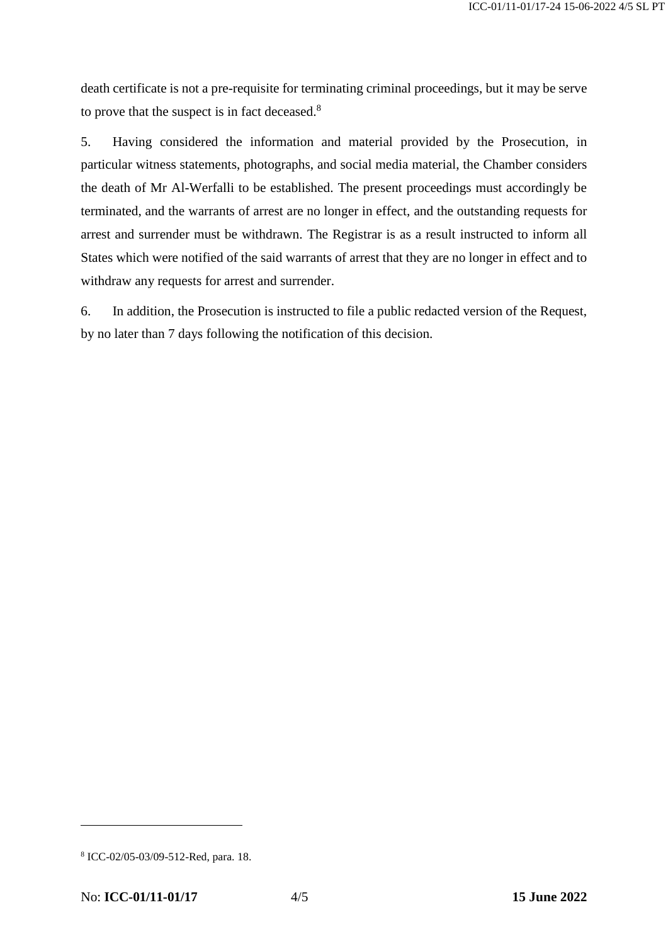death certificate is not a pre-requisite for terminating criminal proceedings, but it may be serve to prove that the suspect is in fact deceased.<sup>8</sup>

5. Having considered the information and material provided by the Prosecution, in particular witness statements, photographs, and social media material, the Chamber considers the death of Mr Al-Werfalli to be established. The present proceedings must accordingly be terminated, and the warrants of arrest are no longer in effect, and the outstanding requests for arrest and surrender must be withdrawn. The Registrar is as a result instructed to inform all States which were notified of the said warrants of arrest that they are no longer in effect and to withdraw any requests for arrest and surrender.

6. In addition, the Prosecution is instructed to file a public redacted version of the Request, by no later than 7 days following the notification of this decision.

-

<sup>8</sup> ICC-02/05-03/09-512-Red, para. 18.